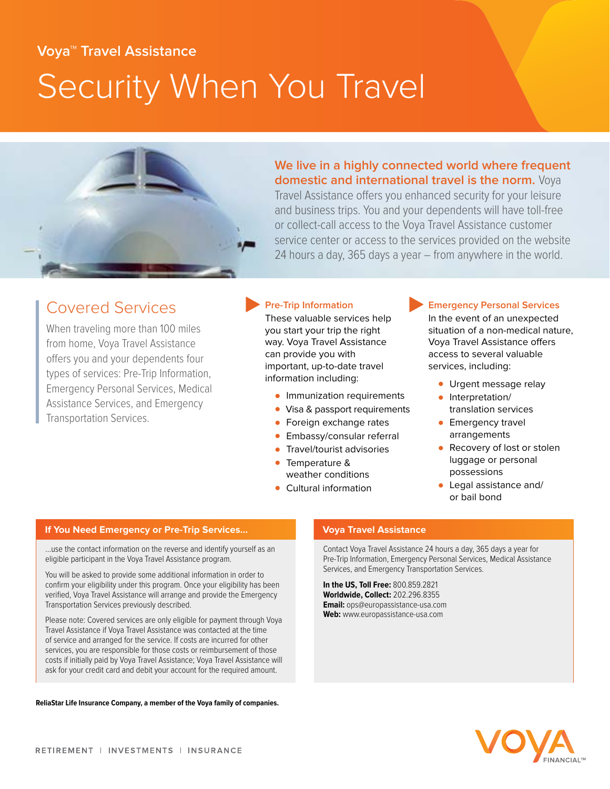# **Voya™ Travel Assistance**  Security When You Travel



**We live in a highly connected world where frequent domestic and international travel is the norm.** Voya

Travel Assistance offers you enhanced security for your leisure and business trips. You and your dependents will have toll-free or collect-call access to the Voya Travel Assistance customer service center or access to the services provided on the website 24 hours a day, 365 days a year – from anywhere in the world.

## **Covered Services**<br>These valuable services help and the event of an unexpected These valuable services help and the event of an unexpected in

When traveling more than 100 miles you start your trip the right situation of a non-medical nature, from home, Voya Travel Assistance **way. Voya Travel Assistance Woya Travel Assistance offers**<br> **Can provide you with the condition of the condition of the condition of the condition of the condition of the condition of t** Offers you and your dependents four can provide you with access to several valuable<br>
types of services: Pre-Trip Information,<br>
Emergency Personal Services, Medical<br>
Assistance Services, and Emergency<br>
Transportation Sorvic Transportation Services. • Foreign exchange rates • Emergency travel

- 
- 
- 
- 
- Embassy/consular referral<br>• Travel/tourist advisories
- weather conditions
- 

In the event of an unexpected

- 
- 
- 
- Travel/tourist advisories<br>
Temperature & luggage or personal luggage or personal<br>possessions
- Cultural information Legal assistance and/ or bail bond

#### **If You Need Emergency or Pre-Trip Services…**

…use the contact information on the reverse and identify yourself as an eligible participant in the Voya Travel Assistance program.

You will be asked to provide some additional information in order to confrm your eligibility under this program. Once your eligibility has been verifed, Voya Travel Assistance will arrange and provide the Emergency Transportation Services previously described.

Please note: Covered services are only eligible for payment through Voya Travel Assistance if Voya Travel Assistance was contacted at the time of service and arranged for the service. If costs are incurred for other services, you are responsible for those costs or reimbursement of those costs if initially paid by Voya Travel Assistance; Voya Travel Assistance will ask for your credit card and debit your account for the required amount.

**ReliaStar Life Insurance Company, a member of the Voya family of companies.**

#### **Voya Travel Assistance**

Contact Voya Travel Assistance 24 hours a day, 365 days a year for Pre-Trip Information, Emergency Personal Services, Medical Assistance Services, and Emergency Transportation Services.

**In the US, Toll Free:** 800.859.2821 **Worldwide, Collect:** 202.296.8355 **Email:** ops@europassistance-usa.com **Web:** www.europassistance-usa.com